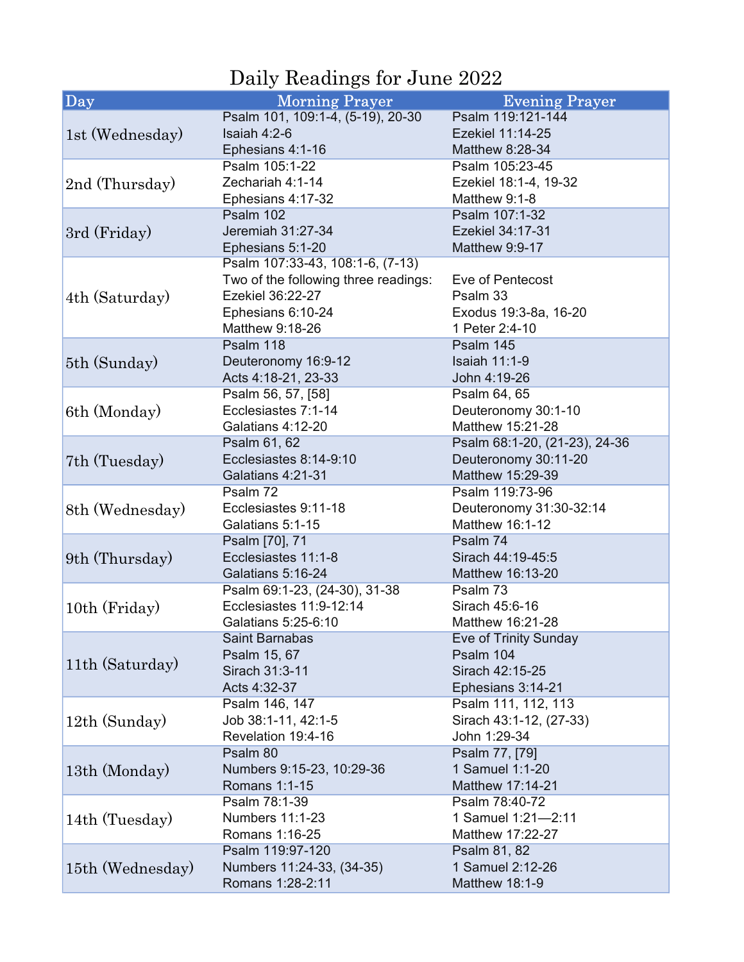## Daily Readings for June 2022

| Day              | <b>Morning Prayer</b>                | <b>Evening Prayer</b>         |
|------------------|--------------------------------------|-------------------------------|
| 1st (Wednesday)  | Psalm 101, 109:1-4, (5-19), 20-30    | Psalm 119:121-144             |
|                  | Isaiah $4:2-6$                       | Ezekiel 11:14-25              |
|                  | Ephesians 4:1-16                     | Matthew 8:28-34               |
|                  | Psalm 105:1-22                       | Psalm 105:23-45               |
| 2nd (Thursday)   | Zechariah 4:1-14                     | Ezekiel 18:1-4, 19-32         |
|                  | Ephesians 4:17-32                    | Matthew 9:1-8                 |
| 3rd (Friday)     | Psalm 102                            | Psalm 107:1-32                |
|                  | Jeremiah 31:27-34                    | Ezekiel 34:17-31              |
|                  | Ephesians 5:1-20                     | Matthew 9:9-17                |
| 4th (Saturday)   | Psalm 107:33-43, 108:1-6, (7-13)     |                               |
|                  | Two of the following three readings: | Eve of Pentecost              |
|                  | Ezekiel 36:22-27                     | Psalm 33                      |
|                  | Ephesians 6:10-24                    | Exodus 19:3-8a, 16-20         |
|                  | Matthew 9:18-26                      | 1 Peter 2:4-10                |
|                  | Psalm 118                            | Psalm 145                     |
| 5th (Sunday)     | Deuteronomy 16:9-12                  | <b>Isaiah 11:1-9</b>          |
|                  | Acts 4:18-21, 23-33                  | John 4:19-26                  |
|                  | Psalm 56, 57, [58]                   | Psalm 64, 65                  |
| 6th (Monday)     | Ecclesiastes 7:1-14                  | Deuteronomy 30:1-10           |
|                  | Galatians 4:12-20                    | Matthew 15:21-28              |
|                  | Psalm 61, 62                         | Psalm 68:1-20, (21-23), 24-36 |
| 7th (Tuesday)    | Ecclesiastes 8:14-9:10               | Deuteronomy 30:11-20          |
|                  | Galatians 4:21-31                    | Matthew 15:29-39              |
|                  | Psalm 72                             | Psalm 119:73-96               |
| 8th (Wednesday)  | Ecclesiastes 9:11-18                 | Deuteronomy 31:30-32:14       |
|                  | Galatians 5:1-15                     | Matthew 16:1-12               |
|                  | Psalm [70], 71                       | Psalm 74                      |
| 9th (Thursday)   | Ecclesiastes 11:1-8                  | Sirach 44:19-45:5             |
|                  | Galatians 5:16-24                    | Matthew 16:13-20              |
| 10th (Friday)    | Psalm 69:1-23, (24-30), 31-38        | Psalm 73                      |
|                  | Ecclesiastes 11:9-12:14              | Sirach 45:6-16                |
|                  | Galatians 5:25-6:10                  | Matthew 16:21-28              |
| 11th (Saturday)  | Saint Barnabas                       | Eve of Trinity Sunday         |
|                  | Psalm 15, 67                         | Psalm 104                     |
|                  | Sirach 31:3-11                       | Sirach 42:15-25               |
|                  | Acts 4:32-37                         | Ephesians 3:14-21             |
| 12th (Sunday)    | Psalm 146, 147                       | Psalm 111, 112, 113           |
|                  | Job 38:1-11, 42:1-5                  | Sirach 43:1-12, (27-33)       |
|                  | Revelation 19:4-16                   | John 1:29-34                  |
| 13th (Monday)    | Psalm 80                             | Psalm 77, [79]                |
|                  | Numbers 9:15-23, 10:29-36            | 1 Samuel 1:1-20               |
|                  | Romans 1:1-15                        | Matthew 17:14-21              |
| 14th (Tuesday)   | Psalm 78:1-39                        | Psalm 78:40-72                |
|                  | <b>Numbers 11:1-23</b>               | 1 Samuel 1:21-2:11            |
|                  | Romans 1:16-25                       | Matthew 17:22-27              |
| 15th (Wednesday) | Psalm 119:97-120                     | Psalm 81, 82                  |
|                  | Numbers 11:24-33, (34-35)            | 1 Samuel 2:12-26              |
|                  | Romans 1:28-2:11                     | Matthew 18:1-9                |